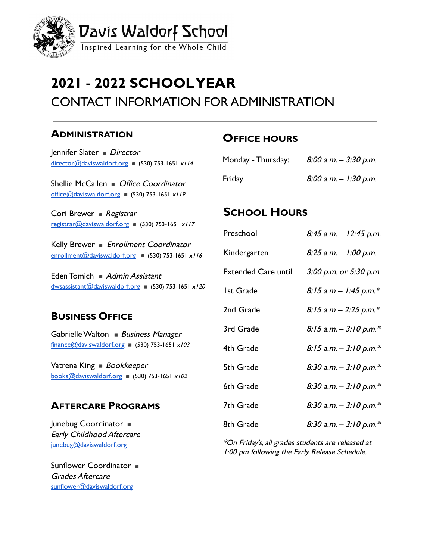

# **2021 - 2022 SCHOOLYEAR** CONTACT INFORMATION FOR ADMINISTRATION

#### **ADMINISTRATION**

Jennifer Slater ■ Director [director@daviswaldorf.org](mailto:director@daviswaldorf.org) ■ (530) 753-1651  $x/14$ 

Shellie McCallen ■ Office Coordinator [office@daviswaldorf.org](mailto:office@daviswaldorf.org) (530) 753-1651  $x/19$ 

Cori Brewer ■ Registrar [registrar@daviswaldorf.org](mailto:registrar@daviswaldorf.org) (530) 753-1651  $x/17$ 

Kelly Brewer ■ Enrollment Coordinator enrollment@daviswaldorf.org (530) 753-1651  $x/16$ 

Eden Tomich ■ Admin Assistant  $d$ wsassistant@daviswaldorf.org (530) 753-1651 x120

#### **BUSINESS OFFICE**

Gabrielle Walton ■ Business Manager finance@daviswaldorf.org (530) 753-1651  $x/03$ 

Vatrena King ■ Bookkeeper  $books@daviswaldorf.org$  (530) 753-1651 x102

#### **AFTERCARE PROGRAMS**

Junebug Coordinator ■ Early Childhood Aftercare junebug@daviswaldorf.org

Sunflower Coordinator  $\blacksquare$ Grades Aftercare sunflower@daviswaldorf.org

## **OFFICE HOURS**

| Monday - Thursday: | $8:00$ a.m. $-$ 3:30 p.m. |
|--------------------|---------------------------|
| Friday:            | $8:00$ a.m. $-1:30$ p.m.  |

### **SCHOOL HOURS**

| Preschool                  | $8:45$ a.m. $-12:45$ p.m. |
|----------------------------|---------------------------|
| Kindergarten               | 8:25 a.m. - 1:00 p.m.     |
| <b>Extended Care until</b> | 3:00 p.m. or 5:30 p.m.    |
| <b>Ist Grade</b>           | $8:15$ a.m – 1:45 p.m.*   |
| 2nd Grade                  | $8:15$ a.m - 2:25 p.m.*   |
| 3rd Grade                  | 8:15 a.m. $-$ 3:10 p.m.*  |
| 4th Grade                  | $8:15$ a.m. - 3:10 p.m.*  |
| 5th Grade                  | 8:30 a.m. $-$ 3:10 p.m.*  |
| 6th Grade                  | 8:30 a.m. $-$ 3:10 p.m.*  |
| 7th Grade                  | 8:30 a.m. $-$ 3:10 p.m.*  |
| 8th Grade                  | 8:30 a.m. $-$ 3:10 p.m.*  |

\*On Friday's, all grades students are released at 1:00 pm following the Early Release Schedule.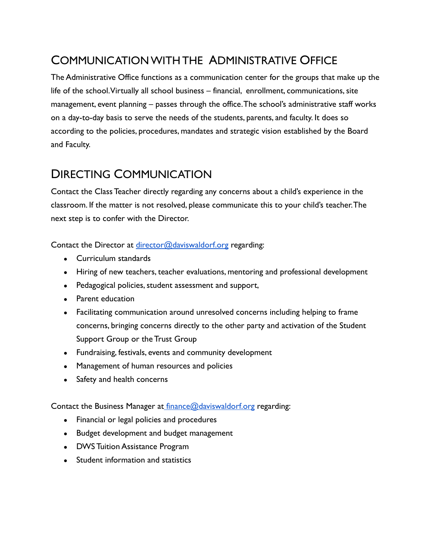# COMMUNICATIONWITH THE ADMINISTRATIVE OFFICE

The Administrative Office functions as a communication center for the groups that make up the life of the school.Virtually all school business – financial, enrollment, communications, site management, event planning – passes through the office.The school's administrative staff works on a day-to-day basis to serve the needs of the students, parents, and faculty. It does so according to the policies, procedures, mandates and strategic vision established by the Board and Faculty.

## DIRECTING COMMUNICATION

Contact the Class Teacher directly regarding any concerns about a child's experience in the classroom. If the matter is not resolved, please communicate this to your child's teacher.The next step is to confer with the Director.

Contact the Director at [director@daviswaldorf.org](mailto:director@daviswaldorf.org) regarding:

- Curriculum standards
- Hiring of new teachers, teacher evaluations, mentoring and professional development
- Pedagogical policies, student assessment and support,
- Parent education
- Facilitating communication around unresolved concerns including helping to frame concerns, bringing concerns directly to the other party and activation of the Student Support Group or the Trust Group
- Fundraising, festivals, events and community development
- Management of human resources and policies
- Safety and health concerns

Contact the Business Manager at [finance@daviswaldorf.org](mailto:finance@daviswaldorf.org) regarding:

- Financial or legal policies and procedures
- Budget development and budget management
- DWS Tuition Assistance Program
- Student information and statistics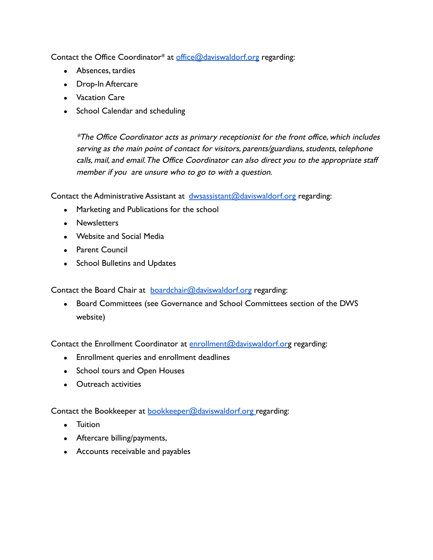Contact the Office Coordinator\* at [office@daviswaldorf.org](mailto:office@daviswaldorf.org) regarding:

- Absences, tardies
- Drop-In Aftercare
- Vacation Care
- School Calendar and scheduling

\*The Office Coordinator acts as primary receptionist for the front office, which includes serving as the main point of contact for visitors, parents/guardians, students, telephone calls, mail, and email.The Office Coordinator can also direct you to the appropriate staff member if you are unsure who to go to with a question.

Contact the Administrative Assistant at [dwsassistant@daviswaldorf.org](mailto:dwsassistant@daviswaldorf.org) regarding:

- Marketing and Publications for the school
- Newsletters
- Website and Social Media
- Parent Council
- School Bulletins and Updates

Contact the Board Chair at **[boardchair@daviswaldorf.org](mailto:boardchair@daviswaldorf.org)** regarding:

• Board Committees (see Governance and School Committees section of the DWS website)

Contact the Enrollment Coordinator at [enrollment@daviswaldorf.or](mailto:enrollment@daviswaldorf.or)g regarding:

- Enrollment queries and enrollment deadlines
- School tours and Open Houses
- Outreach activities

Contact the Bookkeeper at [bookkeeper@daviswaldorf.org](mailto:bookkeeper@daviswaldorf.org) regarding:

- Tuition
- Aftercare billing/payments,
- Accounts receivable and payables